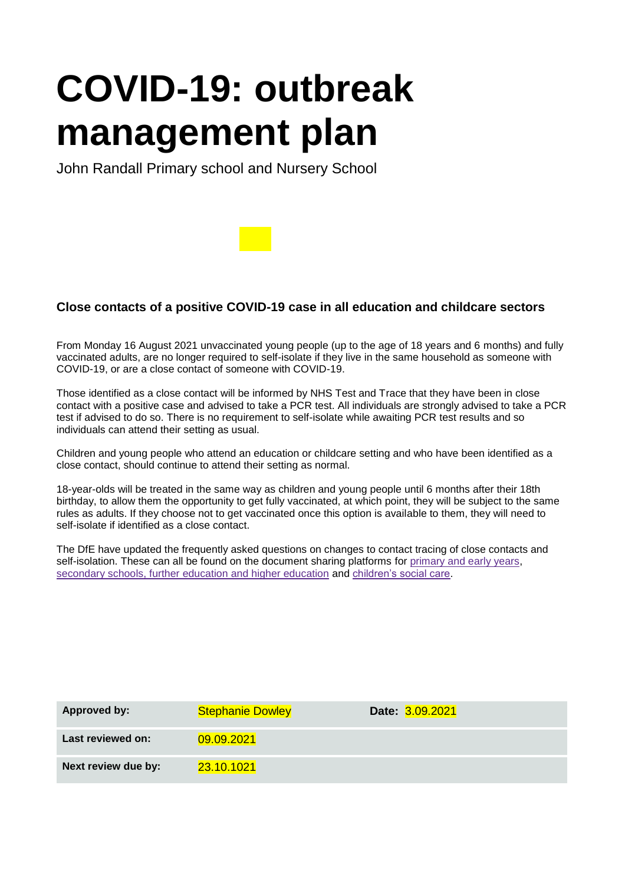# **COVID-19: outbreak management plan**

John Randall Primary school and Nursery School

## **Close contacts of a positive COVID-19 case in all education and childcare sectors co**

From Monday 16 August 2021 unvaccinated young people (up to the age of 18 years and 6 months) and fully **ac** vaccinated adults, are no longer required to self-isolate if they live in the same household as someone with **ts**  COVID-19, or are a close contact of someone with COVID-19. **of** 

Those identified as a close contact will be informed by NHS Test and Trace that they have been in close **a**  contact with a positive case and advised to take a PCR test. All individuals are strongly advised to take a PCR **po** test if advised to do so. There is no requirement to self-isolate while awaiting PCR test results and so **sit** individuals can attend their setting as usual.

Children and young people who attend an education or childcare setting and who have been identified as a **e**  close contact, should continue to attend their setting as normal. **C**

18-year-olds will be treated in the same way as children and young people until 6 months after their 18th **O** birthday, to allow them the opportunity to get fully vaccinated, at which point, they will be subject to the same **VI** rules as adults. If they choose not to get vaccinated once this option is available to them, they will need to **D**self-isolate if identified as a close contact. **19** 

The DfE have updated the frequently asked questions on changes to contact tracing of close contacts and **ca** self-isolation. These can all be found on the document sharing platforms for [primary and early years,](https://eur01.safelinks.protection.outlook.com/?data=04%7C01%7Csoili.larkin%40phe.gov.uk%7Cf01477d715554c22301008d96228630e%7Cee4e14994a354b2ead475f3cf9de8666%7C0%7C0%7C637648747878074267%7CUnknown%7CTWFpbGZsb3d8eyJWIjoiMC4wLjAwMDAiLCJQIjoiV2luMzIiLCJBTiI6Ik1haWwiLCJXVCI6Mn0%3D%7C1000&reserved=0&sdata=7r03eLRiec8gT2Su%2BGKmXL9uziJPJOjgTDxD5pqRWtg%3D&url=https%3A%2F%2Fdrive.google.com%2Fdrive%2Ffolders%2F1hKS3zGpiHRCBqQWUeL6V2L6tV8mnMnKO%3Futm_content%3D%26utm_medium%3Demail%26utm_name%3D%26utm_source%3Dgovdelivery%26utm_term%3D&utm_content=&utm_medium=email&utm_name=&utm_source=govdelivery&utm_term=) [secondary schools, further education and higher education](https://eur01.safelinks.protection.outlook.com/?data=04%7C01%7Csoili.larkin%40phe.gov.uk%7Cf01477d715554c22301008d96228630e%7Cee4e14994a354b2ead475f3cf9de8666%7C0%7C0%7C637648747878074267%7CUnknown%7CTWFpbGZsb3d8eyJWIjoiMC4wLjAwMDAiLCJQIjoiV2luMzIiLCJBTiI6Ik1haWwiLCJXVCI6Mn0%3D%7C1000&reserved=0&sdata=B79CzDjK3%2FON6%2FCHg7OVZ9FAS4bfIlpu%2Fdu%2F3ItcRLc%3D&url=https%3A%2F%2Fdrive.google.com%2Fdrive%2Ffolders%2F1X5SgRwxSIBJNnAGnT8rroKeX8rVpXEJI%3Futm_content%3D%26utm_medium%3Demail%26utm_name%3D%26utm_source%3Dgovdelivery%26utm_term%3D&utm_content=&utm_medium=email&utm_name=&utm_source=govdelivery&utm_term=) and [children's social care.](https://eur01.safelinks.protection.outlook.com/?data=04%7C01%7Csoili.larkin%40phe.gov.uk%7Cf01477d715554c22301008d96228630e%7Cee4e14994a354b2ead475f3cf9de8666%7C0%7C0%7C637648747878084222%7CUnknown%7CTWFpbGZsb3d8eyJWIjoiMC4wLjAwMDAiLCJQIjoiV2luMzIiLCJBTiI6Ik1haWwiLCJXVCI6Mn0%3D%7C1000&reserved=0&sdata=Zd2tNF%2FlCy07S0Gmy1Dbs9wiFtu0MOU2ZBVsamLe25w%3D&url=https%3A%2F%2Fdrive.google.com%2Fdrive%2Ffolders%2F1Nyl4YMg7MGiIO3zxOIpLjuDINlaJIFbU%3Futm_content%3D%26utm_medium%3Demail%26utm_name%3D%26utm_source%3Dgovdelivery%26utm_term%3D&utm_content=&utm_medium=email&utm_name=&utm_source=govdelivery&utm_term=) **in** 

| <b>Approved by:</b> | <b>Stephanie Dowley</b> | Date: 3.09.2021 |
|---------------------|-------------------------|-----------------|
| Last reviewed on:   | 09.09.2021              |                 |
| Next review due by: | 23.10.1021              |                 |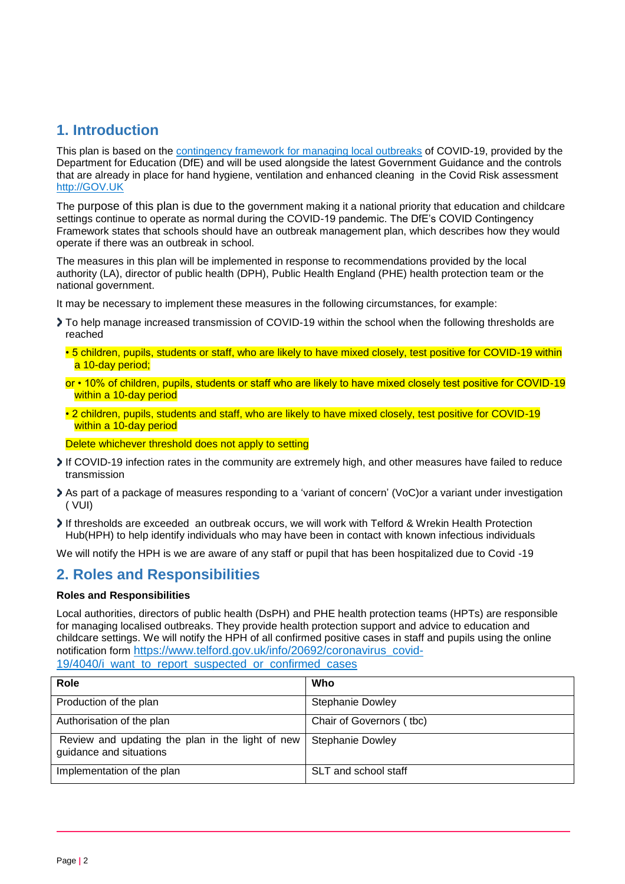# **1. Introduction**

This plan is based on the [contingency framework for managing local outbreaks](https://www.gov.uk/government/publications/coronavirus-covid-19-local-restrictions-in-education-and-childcare-settings) of COVID-19, provided by the Department for Education (DfE) and will be used alongside the latest Government Guidance and the controls that are already in place for hand hygiene, ventilation and enhanced cleaning in the Covid Risk assessment [http://GOV.UK](http://mail.taw.org.uk:32224/?dmVyPTEuMDAxJiYzOWEzYWMwNTY2MDMxNDFkNT02MTI3RjhGOF8zNjE2N18yMDI2Ml8xNiYmNWE5MTQzYzg3NmE3MDFhPTEyMzImJnVybD1odHRwJTNBJTJGJTJGR09WJTJFVUs=)

The purpose of this plan is due to the government making it a national priority that education and childcare settings continue to operate as normal during the COVID-19 pandemic. The DfE's COVID Contingency Framework states that schools should have an outbreak management plan, which describes how they would operate if there was an outbreak in school.

The measures in this plan will be implemented in response to recommendations provided by the local authority (LA), director of public health (DPH), Public Health England (PHE) health protection team or the national government.

It may be necessary to implement these measures in the following circumstances, for example:

- To help manage increased transmission of COVID-19 within the school when the following thresholds are reached
	- 5 children, pupils, students or staff, who are likely to have mixed closely, test positive for COVID-19 within a 10-day period;
	- or 10% of children, pupils, students or staff who are likely to have mixed closely test positive for COVID-19 within a 10-day period
	- 2 children, pupils, students and staff, who are likely to have mixed closely, test positive for COVID-19 within a 10-day period

Delete whichever threshold does not apply to setting

- If COVID-19 infection rates in the community are extremely high, and other measures have failed to reduce transmission
- As part of a package of measures responding to a 'variant of concern' (VoC)or a variant under investigation ( VUI)
- If thresholds are exceeded an outbreak occurs, we will work with Telford & Wrekin Health Protection Hub(HPH) to help identify individuals who may have been in contact with known infectious individuals

We will notify the HPH is we are aware of any staff or pupil that has been hospitalized due to Covid -19

#### **2. Roles and Responsibilities**

#### **Roles and Responsibilities**

Local authorities, directors of public health (DsPH) and PHE health protection teams (HPTs) are responsible for managing localised outbreaks. They provide health protection support and advice to education and childcare settings. We will notify the HPH of all confirmed positive cases in staff and pupils using the online notification form [https://www.telford.gov.uk/info/20692/coronavirus\\_covid-](https://www.telford.gov.uk/info/20692/coronavirus_covid-19/4040/i_want_to_report_suspected_or_confirmed_cases)[19/4040/i\\_want\\_to\\_report\\_suspected\\_or\\_confirmed\\_cases](https://www.telford.gov.uk/info/20692/coronavirus_covid-19/4040/i_want_to_report_suspected_or_confirmed_cases)

| Role                                                                        | Who                      |
|-----------------------------------------------------------------------------|--------------------------|
| Production of the plan                                                      | <b>Stephanie Dowley</b>  |
| Authorisation of the plan                                                   | Chair of Governors (tbc) |
| Review and updating the plan in the light of new<br>guidance and situations | <b>Stephanie Dowley</b>  |
| Implementation of the plan                                                  | SLT and school staff     |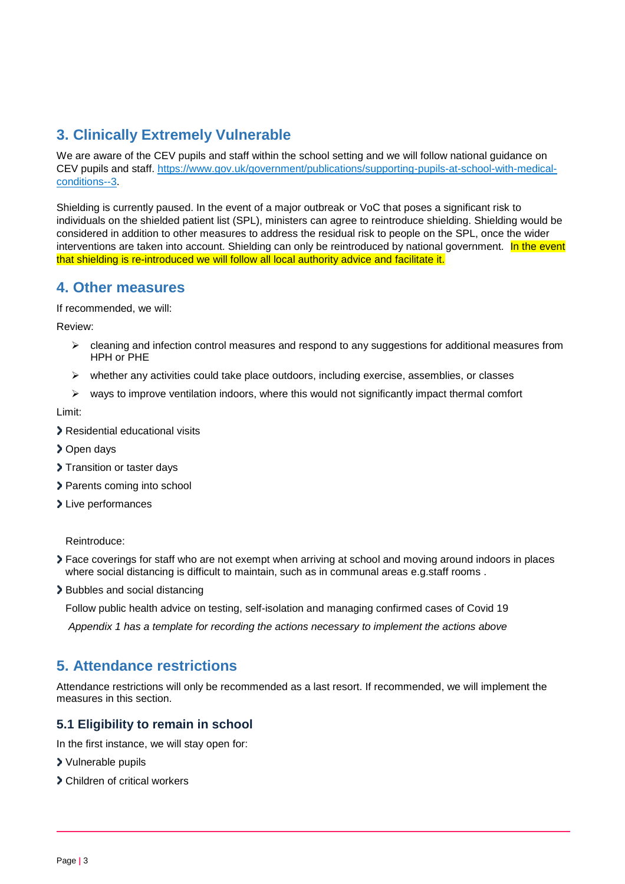# **3. Clinically Extremely Vulnerable**

We are aware of the CEV pupils and staff within the school setting and we will follow national guidance on CEV pupils and staff. [https://www.gov.uk/government/publications/supporting-pupils-at-school-with-medical](https://www.gov.uk/government/publications/supporting-pupils-at-school-with-medical-conditions--3)[conditions--3.](https://www.gov.uk/government/publications/supporting-pupils-at-school-with-medical-conditions--3)

Shielding is currently paused. In the event of a major outbreak or VoC that poses a significant risk to individuals on the shielded patient list (SPL), ministers can agree to reintroduce shielding. Shielding would be considered in addition to other measures to address the residual risk to people on the SPL, once the wider interventions are taken into account. Shielding can only be reintroduced by national government. In the event that shielding is re-introduced we will follow all local authority advice and facilitate it.

### **4. Other measures**

If recommended, we will:

Review:

- $\triangleright$  cleaning and infection control measures and respond to any suggestions for additional measures from HPH or PHE
- $\triangleright$  whether any activities could take place outdoors, including exercise, assemblies, or classes
- $\triangleright$  ways to improve ventilation indoors, where this would not significantly impact thermal comfort

Limit:

- > Residential educational visits
- > Open days
- > Transition or taster days
- > Parents coming into school
- > Live performances

Reintroduce:

- Face coverings for staff who are not exempt when arriving at school and moving around indoors in places where social distancing is difficult to maintain, such as in communal areas e.g.staff rooms .
- > Bubbles and social distancing

Follow public health advice on testing, self-isolation and managing confirmed cases of Covid 19

*Appendix 1 has a template for recording the actions necessary to implement the actions above* 

### **5. Attendance restrictions**

Attendance restrictions will only be recommended as a last resort. If recommended, we will implement the measures in this section.

#### **5.1 Eligibility to remain in school**

In the first instance, we will stay open for:

- Vulnerable pupils
- Children of critical workers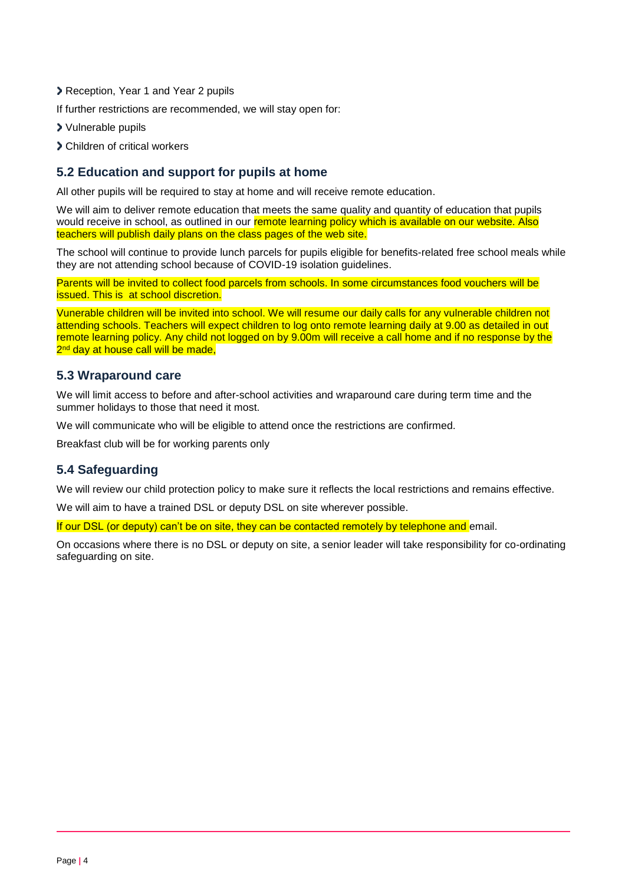- Reception, Year 1 and Year 2 pupils
- If further restrictions are recommended, we will stay open for:
- Vulnerable pupils
- Children of critical workers

#### **5.2 Education and support for pupils at home**

All other pupils will be required to stay at home and will receive remote education.

We will aim to deliver remote education that meets the same quality and quantity of education that pupils would receive in school, as outlined in our remote learning policy which is available on our website. Also teachers will publish daily plans on the class pages of the web site.

The school will continue to provide lunch parcels for pupils eligible for benefits-related free school meals while they are not attending school because of COVID-19 isolation guidelines.

Parents will be invited to collect food parcels from schools. In some circumstances food vouchers will be issued. This is at school discretion.

Vunerable children will be invited into school. We will resume our daily calls for any vulnerable children not attending schools. Teachers will expect children to log onto remote learning daily at 9.00 as detailed in out remote learning policy. Any child not logged on by 9.00m will receive a call home and if no response by the 2<sup>nd</sup> day at house call will be made,

#### **5.3 Wraparound care**

We will limit access to before and after-school activities and wraparound care during term time and the summer holidays to those that need it most.

We will communicate who will be eligible to attend once the restrictions are confirmed.

Breakfast club will be for working parents only

#### **5.4 Safeguarding**

We will review our child protection policy to make sure it reflects the local restrictions and remains effective.

We will aim to have a trained DSL or deputy DSL on site wherever possible.

If our DSL (or deputy) can't be on site, they can be contacted remotely by telephone and email.

On occasions where there is no DSL or deputy on site, a senior leader will take responsibility for co-ordinating safeguarding on site.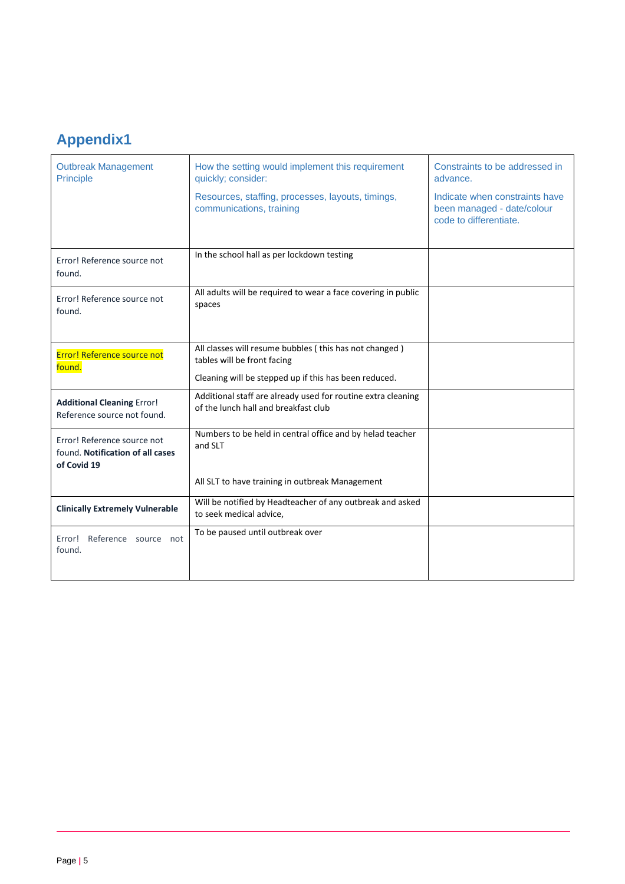# **Appendix1**

| <b>Outbreak Management</b><br>Principle                                        | How the setting would implement this requirement<br>quickly; consider:                               | Constraints to be addressed in<br>advance.                                             |
|--------------------------------------------------------------------------------|------------------------------------------------------------------------------------------------------|----------------------------------------------------------------------------------------|
|                                                                                | Resources, staffing, processes, layouts, timings,<br>communications, training                        | Indicate when constraints have<br>been managed - date/colour<br>code to differentiate. |
|                                                                                | In the school hall as per lockdown testing                                                           |                                                                                        |
| Error! Reference source not<br>found.                                          |                                                                                                      |                                                                                        |
| Error! Reference source not<br>found.                                          | All adults will be required to wear a face covering in public<br>spaces                              |                                                                                        |
|                                                                                |                                                                                                      |                                                                                        |
| <b>Error! Reference source not</b><br>found.                                   | All classes will resume bubbles (this has not changed)<br>tables will be front facing                |                                                                                        |
|                                                                                | Cleaning will be stepped up if this has been reduced.                                                |                                                                                        |
| <b>Additional Cleaning Error!</b><br>Reference source not found.               | Additional staff are already used for routine extra cleaning<br>of the lunch hall and breakfast club |                                                                                        |
| Error! Reference source not<br>found. Notification of all cases<br>of Covid 19 | Numbers to be held in central office and by helad teacher<br>and SLT                                 |                                                                                        |
|                                                                                | All SLT to have training in outbreak Management                                                      |                                                                                        |
| <b>Clinically Extremely Vulnerable</b>                                         | Will be notified by Headteacher of any outbreak and asked                                            |                                                                                        |
|                                                                                | to seek medical advice,                                                                              |                                                                                        |
| Reference source not<br>Error!<br>found.                                       | To be paused until outbreak over                                                                     |                                                                                        |
|                                                                                |                                                                                                      |                                                                                        |